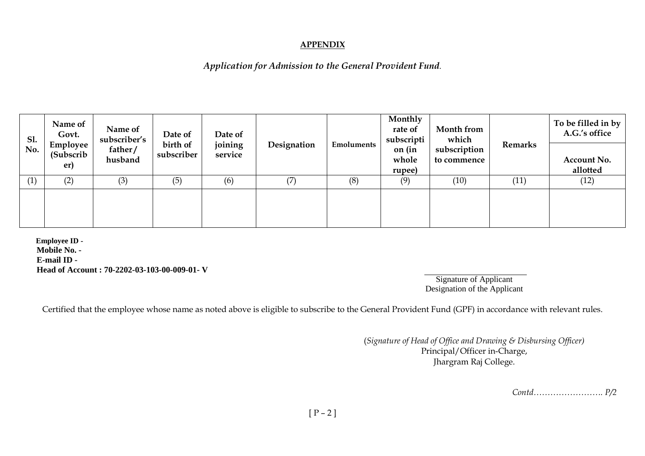## **APPENDIX**

## *Application for Admission to the General Provident Fund.*

| Sl.<br>No. | Name of<br>Govt.<br>Employee<br>(Subscrib)<br>er) | Name of<br>subscriber's<br>father/<br>husband | Date of<br>birth of<br>subscriber | Date of<br>joining<br>service | Designation | <b>Emoluments</b> | Monthly<br>rate of<br>subscripti<br>on (in<br>whole<br>rupee) | Month from<br>which<br>subscription<br>to commence | <b>Remarks</b> | To be filled in by $ $<br>A.G.'s office |
|------------|---------------------------------------------------|-----------------------------------------------|-----------------------------------|-------------------------------|-------------|-------------------|---------------------------------------------------------------|----------------------------------------------------|----------------|-----------------------------------------|
|            |                                                   |                                               |                                   |                               |             |                   |                                                               |                                                    |                | Account No.<br>allotted                 |
| (1)        | (2)                                               | (3)                                           | (5)                               | (6)                           | (7)         | (8)               | (9)                                                           | (10)                                               | (11)           | (12)                                    |
|            |                                                   |                                               |                                   |                               |             |                   |                                                               |                                                    |                |                                         |

**Employee ID - Mobile No. - E-mail ID - Head of Account : 70-2202-03-103-00-009-01- V** 

Signature of Applicant Designation of the Applicant

Certified that the employee whose name as noted above is eligible to subscribe to the General Provident Fund (GPF) in accordance with relevant rules.

(*Signature of Head of Office and Drawing & Disbursing Officer)* Principal/Officer in-Charge, Jhargram Raj College.

*Contd……………………. P/2*